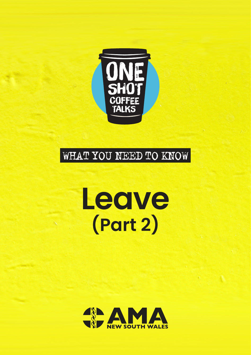

### WHAT YOU NEED TO KNOW

# **Leave (Part 2)**

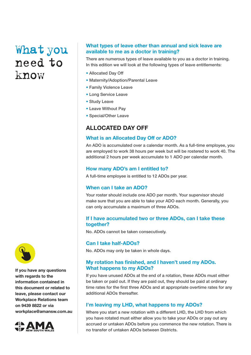#### **What types of leave other than annual and sick leave are available to me as a doctor in training?**

There are numerous types of leave available to you as a doctor in training. In this edition we will look at the following types of leave entitlements:

- Allocated Day Off
- Maternity/Adoption/Parental Leave
- Family Violence Leave
- Long Service Leave
- Study Leave
- Leave Without Pay
- Special/Other Leave

### **ALLOCATED DAY OFF**

#### **What is an Allocated Day Off or ADO?**

An ADO is accumulated over a calendar month. As a full-time employee, you are employed to work 38 hours per week but will be rostered to work 40. The additional 2 hours per week accumulate to 1 ADO per calendar month.

#### **How many ADO's am I entitled to?**

A full-time employee is entitled to 12 ADOs per year.

#### **When can I take an ADO?**

Your roster should include one ADO per month. Your supervisor should make sure that you are able to take your ADO each month. Generally, you can only accumulate a maximum of three ADOs.

#### **If I have accumulated two or three ADOs, can I take these together?**

No. ADOs cannot be taken consecutively.

#### **Can I take half-ADOs?**

No. ADOs may only be taken in whole days.

#### **My rotation has finished, and I haven't used my ADOs. What happens to my ADOs?**

If you have unused ADOs at the end of a rotation, these ADOs must either be taken or paid out. If they are paid out, they should be paid at ordinary time rates for the first three ADOs and at appropriate overtime rates for any additional ADOs thereafter.

#### **I'm leaving my LHD, what happens to my ADOs?**

Where you start a new rotation with a different LHD, the LHD from which you have rotated must either allow you to take your ADOs or pay out any accrued or untaken ADOs before you commence the new rotation. There is no transfer of untaken ADOs between Districts.



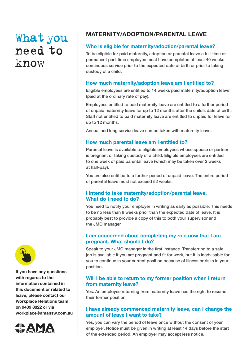### **MATERNITY/ADOPTION/PARENTAL LEAVE**

#### **Who is eligible for maternity/adoption/parental leave?**

To be eligible for paid maternity, adoption or parental leave a full-time or permanent part-time employee must have completed at least 40 weeks continuous service prior to the expected date of birth or prior to taking custody of a child.

#### **How much maternity/adoption leave am I entitled to?**

Eligible employees are entitled to 14 weeks paid maternity/adoption leave (paid at the ordinary rate of pay).

Employees entitled to paid maternity leave are entitled to a further period of unpaid maternity leave for up to 12 months after the child's date of birth. Staff not entitled to paid maternity leave are entitled to unpaid for leave for up to 12 months.

Annual and long service leave can be taken with maternity leave.

#### **How much parental leave am I entitled to?**

Parental leave is available to eligible employees whose spouse or partner is pregnant or taking custody of a child. Eligible employees are entitled to one week of paid parental leave (which may be taken over 2 weeks at half-pay).

You are also entitled to a further period of unpaid leave. The entire period of parental leave must not exceed 52 weeks.

#### **I intend to take maternity/adoption/parental leave. What do I need to do?**

You need to notify your employer in writing as early as possible. This needs to be no less than 8 weeks prior than the expected date of leave. It is probably best to provide a copy of this to both your supervisor and the JMO manager.

#### **I am concerned about completing my role now that I am pregnant. What should I do?**

Speak to your JMO manager in the first instance. Transferring to a safe job is available if you are pregnant and fit for work, but it is inadvisable for you to continue in your current position because of illness or risks in your position.

#### **Will I be able to return to my former position when I return from maternity leave?**

Yes. An employee returning from maternity leave has the right to resume their former position.

#### **I have already commenced maternity leave, can I change the amount of leave I want to take?**

Yes, you can vary the period of leave once without the consent of your employer. Notice must be given in writing at least 14 days before the start of the extended period. An employer may accept less notice.



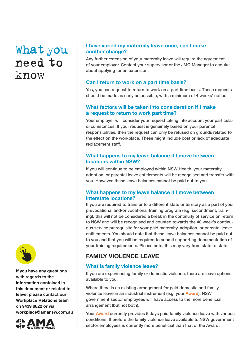

**If you have any questions with regards to the information contained in this document or related to leave, please contact our Workplace Relations team on 9439 8822 or via [workplace@amansw.com.au](mailto:workplace%40amansw.com.au%20?subject=)** 



#### **I have varied my maternity leave once, can I make another change?**

Any further extension of your maternity leave will require the agreement of your employer. Contact your supervisor or the JMO Manager to enquire about applying for an extension.

#### **Can I return to work on a part time basis?**

Yes, you can request to return to work on a part time basis. These requests should be made as early as possible, with a minimum of 4 weeks' notice.

#### **What factors will be taken into consideration if I make a request to return to work part time?**

Your employer will consider your request taking into account your particular circumstances. If your request is genuinely based on your parental responsibilities, then the request can only be refused on grounds related to the effect on the workplace. These might include cost or lack of adequate replacement staff.

#### **What happens to my leave balance if I move between locations within NSW?**

If you will continue to be employed within NSW Health, your maternity, adoption, or parental leave entitlements will be recognised and transfer with you. However, these leave balances cannot be paid out to you.

#### **What happens to my leave balance if I move between interstate locations?**

If you are required to transfer to a different state or territory as a part of your prevocational and/or vocational training program (e.g. secondment, training), this will not be considered a break in the continuity of service on return to NSW and will be recognised and counted towards the 40 week's continuous service prerequisite for your paid maternity, adoption, or parental leave entitlements. You should note that these leave balances cannot be paid out to you and that you will be required to submit supporting documentation of your training requirements. Please note, this may vary from state to state.

### **FAMILY VIOLENCE LEAVE**

#### **What is family violence leave?**

If you are experiencing family or domestic violence, there are leave options available to you.

Where there is an existing arrangement for paid domestic and family violence leave in an industrial instrument (e.g. your **[Award](https://www.health.nsw.gov.au/careers/conditions/Awards/ph-medical-officers.pdf)**), NSW government sector employees will have access to the more beneficial arrangement (but not both).

Your **[Award](https://www.health.nsw.gov.au/careers/conditions/Awards/ph-medical-officers.pdf)** currently provides 5 days paid family violence leave with various conditions, therefore the family violence leave available to NSW government sector employees is currently more beneficial than that of the Award.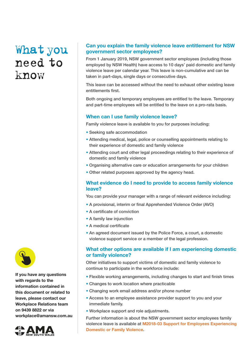#### **Can you explain the family violence leave entitlement for NSW government sector employees?**

From 1 January 2019, NSW government sector employees (including those employed by NSW Health) have access to 10 days' paid domestic and family violence leave per calendar year. This leave is non-cumulative and can be taken in part-days, single days or consecutive days.

This leave can be accessed without the need to exhaust other existing leave entitlements first.

Both ongoing and temporary employees are entitled to the leave. Temporary and part-time employees will be entitled to the leave on a pro-rata basis.

#### **When can I use family violence leave?**

Family violence leave is available to you for purposes including:

- Seeking safe accommodation
- Attending medical, legal, police or counselling appointments relating to their experience of domestic and family violence
- Attending court and other legal proceedings relating to their experience of domestic and family violence
- Organising alternative care or education arrangements for your children
- Other related purposes approved by the agency head.

#### **What evidence do I need to provide to access family violence leave?**

You can provide your manager with a range of relevant evidence including:

- A provisional, interim or final Apprehended Violence Order (AVO)
- A certificate of conviction
- A family law injunction
- A medical certificate
- An agreed document issued by the Police Force, a court, a domestic violence support service or a member of the legal profession.

#### **What other options are available if I am experiencing domestic or family violence?**

Other initiatives to support victims of domestic and family violence to continue to participate in the workforce include:

- Flexible working arrangements, including changes to start and finish times
- Changes to work location where practicable
- Changing work email address and/or phone number
- Access to an employee assistance provider support to you and your immediate family.
- Workplace support and role adjustments.

[Further information is about the NSW government sector employees family](https://arp.nsw.gov.au/support-employees-experiencing-domestic-and-family-violence)  violence leave is available at **M2018-03 Support for Employees Experiencing Domestic or Family Violence**.



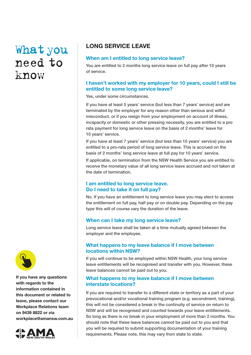

**If you have any questions with regards to the information contained in this document or related to leave, please contact our Workplace Relations team on 9439 8822 or via [workplace@amansw.com.au](mailto:workplace%40amansw.com.au%20?subject=)** 



### **LONG SERVICE LEAVE**

#### **When am I entitled to long service leave?**

You are entitled to 2 months long service leave on full pay after 10 years of service.

#### **I haven't worked with my employer for 10 years, could I still be entitled to some long service leave?**

Yes, under some circumstances.

If you have at least 5 years' service (but less than 7 years' service) and are terminated by the employer for any reason other than serious and wilful misconduct, or if you resign from your employment on account of illness, incapacity or domestic or other pressing necessity, you are entitled to a pro rata payment for long service leave on the basis of 2 months' leave for 10 years' service.

If you have at least 7 years' service (but less than 10 years' service) you are entitled to a pro-rata period of long service leave. This is accrued on the basis of 2 months' long service leave at full pay for 10 years' service.

If applicable, on termination from the NSW Health Service you are entitled to receive the monetary value of all long service leave accrued and not taken at the date of termination.

#### **I am entitled to long service leave. Do I need to take it on full pay?**

No. If you have an entitlement to long service leave you may elect to access the entitlement on full pay, half pay or on double pay. Depending on the pay type this will of course vary the duration of the leave.

#### **When can I take my long service leave?**

Long service leave shall be taken at a time mutually agreed between the employer and the employee.

#### **What happens to my leave balance if I move between locations within NSW?**

If you will continue to be employed within NSW Health, your long service leave entitlements will be recognised and transfer with you. However, these leave balances cannot be paid out to you.

#### **What happens to my leave balance if I move between interstate locations?**

If you are required to transfer to a different state or territory as a part of your prevocational and/or vocational training program (e.g. secondment, training), this will not be considered a break in the continuity of service on return to NSW and will be recognised and counted towards your leave entitlements. So long as there is no break in your employment of more than 2 months. You should note that these leave balances cannot be paid out to you and that you will be required to submit supporting documentation of your training requirements. Please note, this may vary from state to state.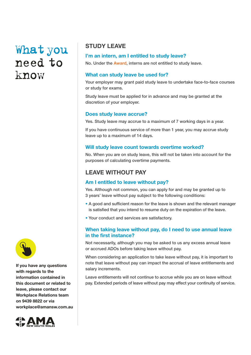### **STUDY LEAVE**

#### **I'm an in[tern, am I enti](https://www.health.nsw.gov.au/careers/conditions/Awards/ph-medical-officers.pdf)tled to study leave?**

No. Under the **Award**, interns are not entitled to study leave.

#### **What can study leave be used for?**

Your employer may grant paid study leave to undertake face-to-face courses or study for exams.

Study leave must be applied for in advance and may be granted at the discretion of your employer.

#### **Does study leave accrue?**

Yes. Study leave may accrue to a maximum of 7 working days in a year.

If you have continuous service of more than 1 year, you may accrue study leave up to a maximum of 14 days.

#### **Will study leave count towards overtime worked?**

No. When you are on study leave, this will not be taken into account for the purposes of calculating overtime payments.

### **LEAVE WITHOUT PAY**

#### **Am I entitled to leave without pay?**

Yes. Although not common, you can apply for and may be granted up to 3 years' leave without pay subject to the following conditions:

- A good and sufficient reason for the leave is shown and the relevant manager is satisfied that you intend to resume duty on the expiration of the leave.
- Your conduct and services are satisfactory.

#### **When taking leave without pay, do I need to use annual leave in the first instance?**

Not necessarily, although you may be asked to us any excess annual leave or accrued ADOs before taking leave without pay.

When considering an application to take leave without pay, it is important to note that leave without pay can impact the accrual of leave entitlements and salary increments.

Leave entitlements will not continue to accrue while you are on leave without pay. Extended periods of leave without pay may effect your continuity of service.



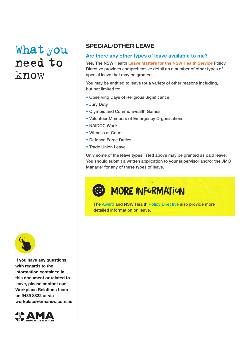### **SPECIAL/OTHER LEAVE**

#### **Are there any other types of leave available to me?**

Yes. The NSW Health **[Leave Matters for the NSW Health Service](https://www1.health.nsw.gov.au/pds/ActivePDSDocuments/PD2022_006.pdf)** Policy Directive provides comprehensive detail on a number of other types of special leave that may be granted.

You may be entitled to leave for a variety of other reasons including, but not limited to:

- Observing Days of Religious Significance
- Jury Duty
- Olympic and Commonwealth Games
- Volunteer Members of Emergency Organisations
- NAIDOC Week
- Witness at Court
- Defence Force Duties
- Trade Union Leave

Only some of the leave types listed above may be granted as paid leave. You should submit a written application to your supervisor and/or the JMO Manager for any of these types of leave.

### **MORE INFORMATION**

The Award and NSW Health [Policy Directive als](https://www1.health.nsw.gov.au/pds/ActivePDSDocuments/PD2022_006.pdf)o provide more [detailed informatio](https://www.health.nsw.gov.au/careers/conditions/Awards/ph-medical-officers.pdf)n on leave.